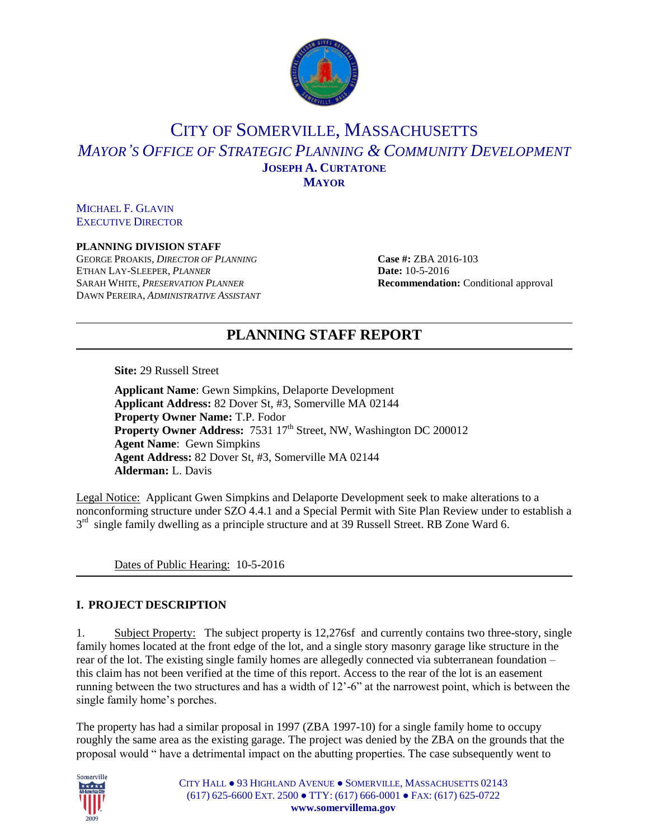

# CITY OF SOMERVILLE, MASSACHUSETTS *MAYOR'S OFFICE OF STRATEGIC PLANNING & COMMUNITY DEVELOPMENT* **JOSEPH A. CURTATONE MAYOR**

MICHAEL F. GLAVIN EXECUTIVE DIRECTOR

### **PLANNING DIVISION STAFF**

GEORGE PROAKIS, *DIRECTOR OF PLANNING* **Case #:** ZBA 2016-103 ETHAN LAY-SLEEPER, *PLANNER* **Date:** 10-5-2016 SARAH WHITE, *PRESERVATION PLANNER* **Recommendation:** Conditional approval DAWN PEREIRA, *ADMINISTRATIVE ASSISTANT*

# **PLANNING STAFF REPORT**

**Site:** 29 Russell Street

**Applicant Name**: Gewn Simpkins, Delaporte Development **Applicant Address:** 82 Dover St, #3, Somerville MA 02144 **Property Owner Name:** T.P. Fodor **Property Owner Address:** 7531 17<sup>th</sup> Street, NW, Washington DC 200012 **Agent Name**: Gewn Simpkins **Agent Address:** 82 Dover St, #3, Somerville MA 02144 **Alderman:** L. Davis

Legal Notice: Applicant Gwen Simpkins and Delaporte Development seek to make alterations to a nonconforming structure under SZO 4.4.1 and a Special Permit with Site Plan Review under to establish a 3<sup>rd</sup> single family dwelling as a principle structure and at 39 Russell Street. RB Zone Ward 6.

Dates of Public Hearing: 10-5-2016

### **I. PROJECT DESCRIPTION**

1. Subject Property: The subject property is 12,276sf and currently contains two three-story, single family homes located at the front edge of the lot, and a single story masonry garage like structure in the rear of the lot. The existing single family homes are allegedly connected via subterranean foundation – this claim has not been verified at the time of this report. Access to the rear of the lot is an easement running between the two structures and has a width of 12'-6" at the narrowest point, which is between the single family home's porches.

The property has had a similar proposal in 1997 (ZBA 1997-10) for a single family home to occupy roughly the same area as the existing garage. The project was denied by the ZBA on the grounds that the proposal would " have a detrimental impact on the abutting properties. The case subsequently went to



CITY HALL ● 93 HIGHLAND AVENUE ● SOMERVILLE, MASSACHUSETTS 02143 (617) 625-6600 EXT. 2500 ● TTY: (617) 666-0001 ● FAX: (617) 625-0722 **www.somervillema.gov**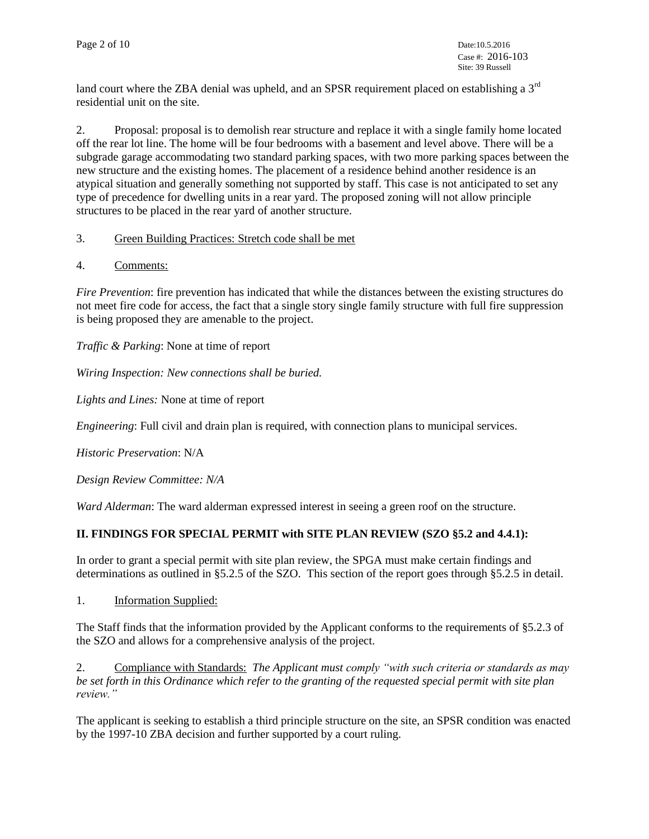land court where the ZBA denial was upheld, and an SPSR requirement placed on establishing a 3<sup>rd</sup> residential unit on the site.

2. Proposal: proposal is to demolish rear structure and replace it with a single family home located off the rear lot line. The home will be four bedrooms with a basement and level above. There will be a subgrade garage accommodating two standard parking spaces, with two more parking spaces between the new structure and the existing homes. The placement of a residence behind another residence is an atypical situation and generally something not supported by staff. This case is not anticipated to set any type of precedence for dwelling units in a rear yard. The proposed zoning will not allow principle structures to be placed in the rear yard of another structure.

## 3. Green Building Practices: Stretch code shall be met

4. Comments:

*Fire Prevention*: fire prevention has indicated that while the distances between the existing structures do not meet fire code for access, the fact that a single story single family structure with full fire suppression is being proposed they are amenable to the project.

*Traffic & Parking*: None at time of report

*Wiring Inspection: New connections shall be buried.*

*Lights and Lines:* None at time of report

*Engineering*: Full civil and drain plan is required, with connection plans to municipal services.

*Historic Preservation*: N/A

*Design Review Committee: N/A*

*Ward Alderman*: The ward alderman expressed interest in seeing a green roof on the structure.

## **II. FINDINGS FOR SPECIAL PERMIT with SITE PLAN REVIEW (SZO §5.2 and 4.4.1):**

In order to grant a special permit with site plan review, the SPGA must make certain findings and determinations as outlined in §5.2.5 of the SZO. This section of the report goes through §5.2.5 in detail.

1. Information Supplied:

The Staff finds that the information provided by the Applicant conforms to the requirements of §5.2.3 of the SZO and allows for a comprehensive analysis of the project.

2. Compliance with Standards: *The Applicant must comply "with such criteria or standards as may be set forth in this Ordinance which refer to the granting of the requested special permit with site plan review."*

The applicant is seeking to establish a third principle structure on the site, an SPSR condition was enacted by the 1997-10 ZBA decision and further supported by a court ruling.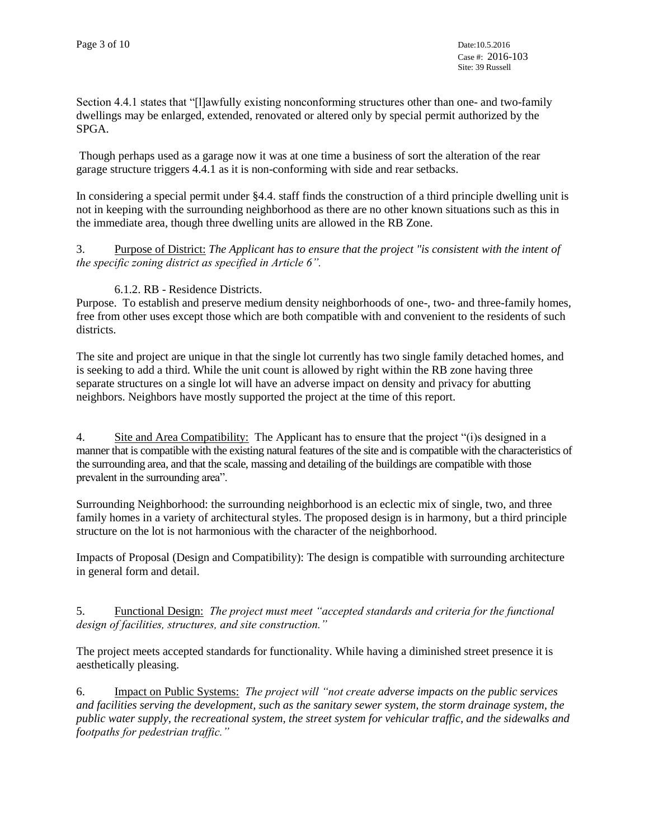Section 4.4.1 states that "[l]awfully existing nonconforming structures other than one- and two-family dwellings may be enlarged, extended, renovated or altered only by special permit authorized by the SPGA.

Though perhaps used as a garage now it was at one time a business of sort the alteration of the rear garage structure triggers 4.4.1 as it is non-conforming with side and rear setbacks.

In considering a special permit under §4.4. staff finds the construction of a third principle dwelling unit is not in keeping with the surrounding neighborhood as there are no other known situations such as this in the immediate area, though three dwelling units are allowed in the RB Zone.

3. Purpose of District: *The Applicant has to ensure that the project "is consistent with the intent of the specific zoning district as specified in Article 6".*

## 6.1.2. RB - Residence Districts.

Purpose. To establish and preserve medium density neighborhoods of one-, two- and three-family homes, free from other uses except those which are both compatible with and convenient to the residents of such districts.

The site and project are unique in that the single lot currently has two single family detached homes, and is seeking to add a third. While the unit count is allowed by right within the RB zone having three separate structures on a single lot will have an adverse impact on density and privacy for abutting neighbors. Neighbors have mostly supported the project at the time of this report.

4. Site and Area Compatibility: The Applicant has to ensure that the project "(i)s designed in a manner that is compatible with the existing natural features of the site and is compatible with the characteristics of the surrounding area, and that the scale, massing and detailing of the buildings are compatible with those prevalent in the surrounding area".

Surrounding Neighborhood: the surrounding neighborhood is an eclectic mix of single, two, and three family homes in a variety of architectural styles. The proposed design is in harmony, but a third principle structure on the lot is not harmonious with the character of the neighborhood.

Impacts of Proposal (Design and Compatibility): The design is compatible with surrounding architecture in general form and detail.

5. Functional Design: *The project must meet "accepted standards and criteria for the functional design of facilities, structures, and site construction."*

The project meets accepted standards for functionality. While having a diminished street presence it is aesthetically pleasing.

6. Impact on Public Systems: *The project will "not create adverse impacts on the public services and facilities serving the development, such as the sanitary sewer system, the storm drainage system, the public water supply, the recreational system, the street system for vehicular traffic, and the sidewalks and footpaths for pedestrian traffic."*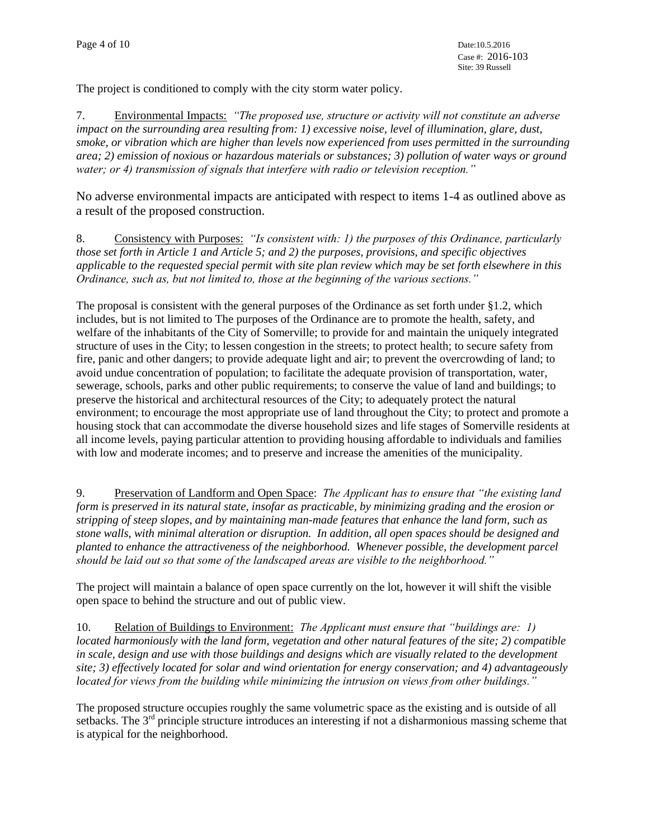The project is conditioned to comply with the city storm water policy.

7. Environmental Impacts: *"The proposed use, structure or activity will not constitute an adverse impact on the surrounding area resulting from: 1) excessive noise, level of illumination, glare, dust, smoke, or vibration which are higher than levels now experienced from uses permitted in the surrounding area; 2) emission of noxious or hazardous materials or substances; 3) pollution of water ways or ground water; or 4) transmission of signals that interfere with radio or television reception."*

No adverse environmental impacts are anticipated with respect to items 1-4 as outlined above as a result of the proposed construction.

8. Consistency with Purposes: *"Is consistent with: 1) the purposes of this Ordinance, particularly those set forth in Article 1 and Article 5; and 2) the purposes, provisions, and specific objectives applicable to the requested special permit with site plan review which may be set forth elsewhere in this Ordinance, such as, but not limited to, those at the beginning of the various sections."*

The proposal is consistent with the general purposes of the Ordinance as set forth under §1.2, which includes, but is not limited to The purposes of the Ordinance are to promote the health, safety, and welfare of the inhabitants of the City of Somerville; to provide for and maintain the uniquely integrated structure of uses in the City; to lessen congestion in the streets; to protect health; to secure safety from fire, panic and other dangers; to provide adequate light and air; to prevent the overcrowding of land; to avoid undue concentration of population; to facilitate the adequate provision of transportation, water, sewerage, schools, parks and other public requirements; to conserve the value of land and buildings; to preserve the historical and architectural resources of the City; to adequately protect the natural environment; to encourage the most appropriate use of land throughout the City; to protect and promote a housing stock that can accommodate the diverse household sizes and life stages of Somerville residents at all income levels, paying particular attention to providing housing affordable to individuals and families with low and moderate incomes; and to preserve and increase the amenities of the municipality.

9. Preservation of Landform and Open Space: *The Applicant has to ensure that "the existing land form is preserved in its natural state, insofar as practicable, by minimizing grading and the erosion or stripping of steep slopes, and by maintaining man-made features that enhance the land form, such as stone walls, with minimal alteration or disruption. In addition, all open spaces should be designed and planted to enhance the attractiveness of the neighborhood. Whenever possible, the development parcel should be laid out so that some of the landscaped areas are visible to the neighborhood."*

The project will maintain a balance of open space currently on the lot, however it will shift the visible open space to behind the structure and out of public view.

10. Relation of Buildings to Environment: *The Applicant must ensure that "buildings are: 1) located harmoniously with the land form, vegetation and other natural features of the site; 2) compatible in scale, design and use with those buildings and designs which are visually related to the development site; 3) effectively located for solar and wind orientation for energy conservation; and 4) advantageously located for views from the building while minimizing the intrusion on views from other buildings."*

The proposed structure occupies roughly the same volumetric space as the existing and is outside of all setbacks. The 3<sup>rd</sup> principle structure introduces an interesting if not a disharmonious massing scheme that is atypical for the neighborhood.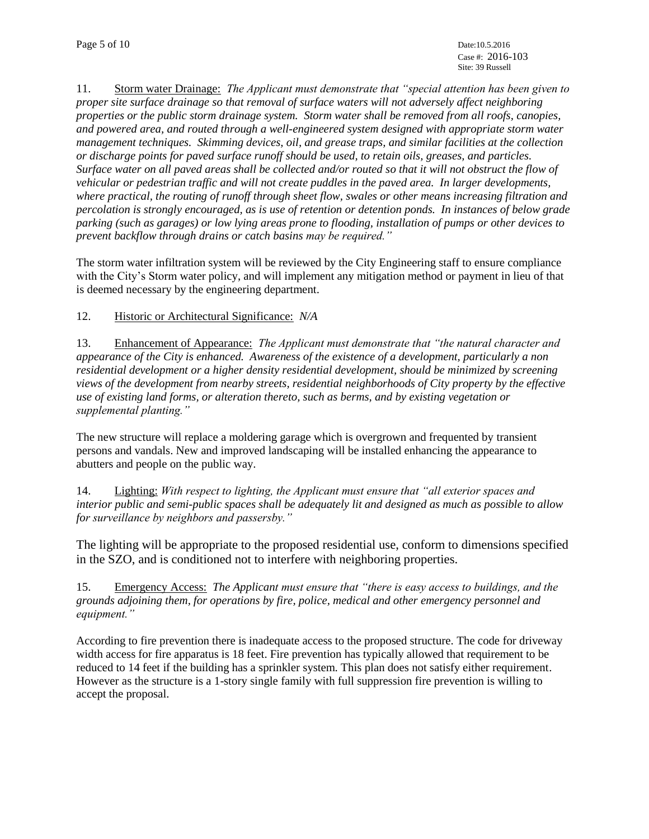11. Storm water Drainage: *The Applicant must demonstrate that "special attention has been given to proper site surface drainage so that removal of surface waters will not adversely affect neighboring properties or the public storm drainage system. Storm water shall be removed from all roofs, canopies, and powered area, and routed through a well-engineered system designed with appropriate storm water management techniques. Skimming devices, oil, and grease traps, and similar facilities at the collection or discharge points for paved surface runoff should be used, to retain oils, greases, and particles. Surface water on all paved areas shall be collected and/or routed so that it will not obstruct the flow of vehicular or pedestrian traffic and will not create puddles in the paved area. In larger developments, where practical, the routing of runoff through sheet flow, swales or other means increasing filtration and percolation is strongly encouraged, as is use of retention or detention ponds. In instances of below grade parking (such as garages) or low lying areas prone to flooding, installation of pumps or other devices to prevent backflow through drains or catch basins may be required."*

The storm water infiltration system will be reviewed by the City Engineering staff to ensure compliance with the City's Storm water policy, and will implement any mitigation method or payment in lieu of that is deemed necessary by the engineering department.

12. Historic or Architectural Significance: *N/A*

13. Enhancement of Appearance: *The Applicant must demonstrate that "the natural character and appearance of the City is enhanced. Awareness of the existence of a development, particularly a non residential development or a higher density residential development, should be minimized by screening views of the development from nearby streets, residential neighborhoods of City property by the effective use of existing land forms, or alteration thereto, such as berms, and by existing vegetation or supplemental planting."*

The new structure will replace a moldering garage which is overgrown and frequented by transient persons and vandals. New and improved landscaping will be installed enhancing the appearance to abutters and people on the public way.

14. Lighting: *With respect to lighting, the Applicant must ensure that "all exterior spaces and interior public and semi-public spaces shall be adequately lit and designed as much as possible to allow for surveillance by neighbors and passersby."*

The lighting will be appropriate to the proposed residential use, conform to dimensions specified in the SZO, and is conditioned not to interfere with neighboring properties.

15. Emergency Access: *The Applicant must ensure that "there is easy access to buildings, and the grounds adjoining them, for operations by fire, police, medical and other emergency personnel and equipment."*

According to fire prevention there is inadequate access to the proposed structure. The code for driveway width access for fire apparatus is 18 feet. Fire prevention has typically allowed that requirement to be reduced to 14 feet if the building has a sprinkler system. This plan does not satisfy either requirement. However as the structure is a 1-story single family with full suppression fire prevention is willing to accept the proposal.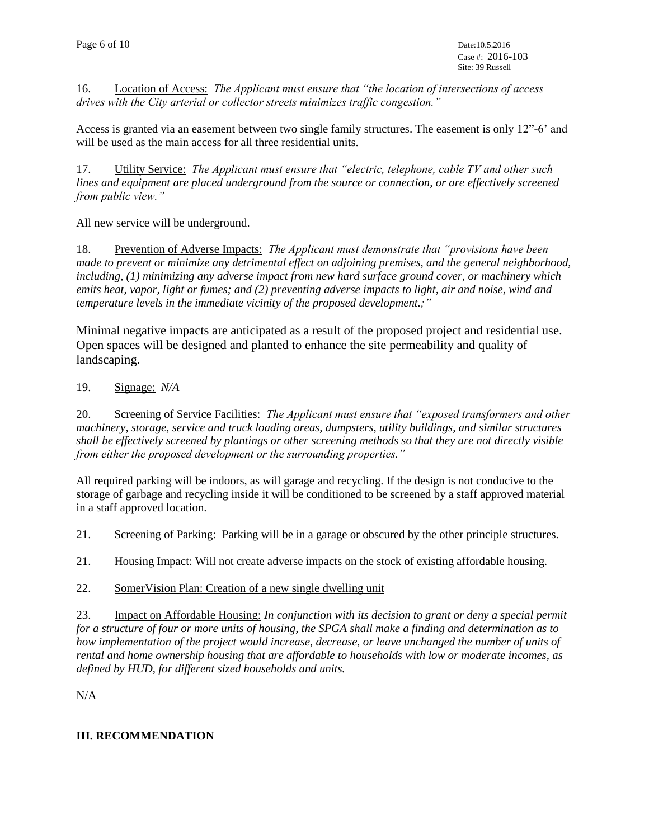16. Location of Access: *The Applicant must ensure that "the location of intersections of access drives with the City arterial or collector streets minimizes traffic congestion."*

Access is granted via an easement between two single family structures. The easement is only 12"-6' and will be used as the main access for all three residential units.

17. Utility Service: *The Applicant must ensure that "electric, telephone, cable TV and other such lines and equipment are placed underground from the source or connection, or are effectively screened from public view."*

All new service will be underground.

18. Prevention of Adverse Impacts: *The Applicant must demonstrate that "provisions have been made to prevent or minimize any detrimental effect on adjoining premises, and the general neighborhood, including, (1) minimizing any adverse impact from new hard surface ground cover, or machinery which emits heat, vapor, light or fumes; and (2) preventing adverse impacts to light, air and noise, wind and temperature levels in the immediate vicinity of the proposed development.;"*

Minimal negative impacts are anticipated as a result of the proposed project and residential use. Open spaces will be designed and planted to enhance the site permeability and quality of landscaping.

## 19. Signage: *N/A*

20. Screening of Service Facilities: *The Applicant must ensure that "exposed transformers and other machinery, storage, service and truck loading areas, dumpsters, utility buildings, and similar structures shall be effectively screened by plantings or other screening methods so that they are not directly visible from either the proposed development or the surrounding properties."*

All required parking will be indoors, as will garage and recycling. If the design is not conducive to the storage of garbage and recycling inside it will be conditioned to be screened by a staff approved material in a staff approved location.

21. Screening of Parking: Parking will be in a garage or obscured by the other principle structures.

21. Housing Impact: Will not create adverse impacts on the stock of existing affordable housing*.*

### 22. SomerVision Plan: Creation of a new single dwelling unit

23. Impact on Affordable Housing: *In conjunction with its decision to grant or deny a special permit for a structure of four or more units of housing, the SPGA shall make a finding and determination as to how implementation of the project would increase, decrease, or leave unchanged the number of units of rental and home ownership housing that are affordable to households with low or moderate incomes, as defined by HUD, for different sized households and units.*

N/A

### **III. RECOMMENDATION**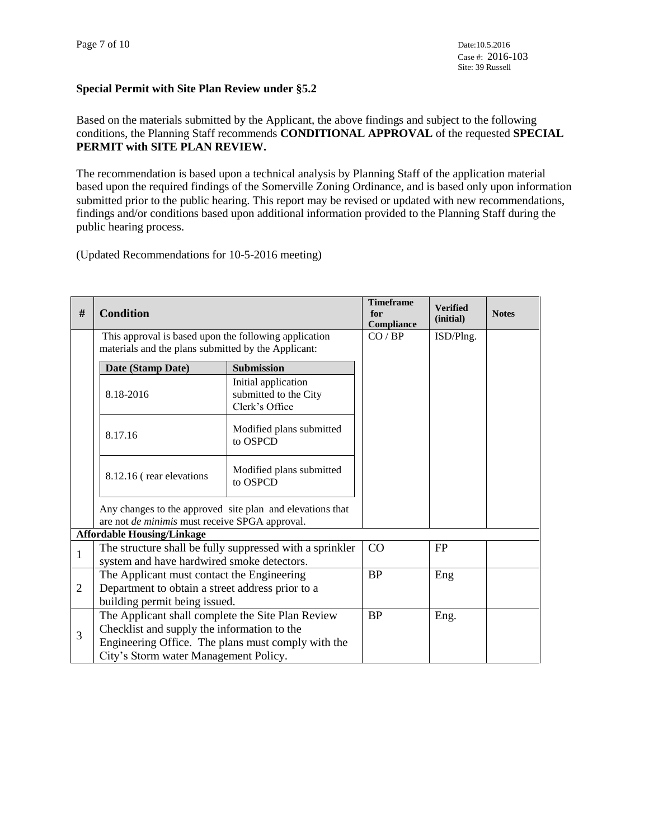## **Special Permit with Site Plan Review under §5.2**

Based on the materials submitted by the Applicant, the above findings and subject to the following conditions, the Planning Staff recommends **CONDITIONAL APPROVAL** of the requested **SPECIAL PERMIT with SITE PLAN REVIEW.**

The recommendation is based upon a technical analysis by Planning Staff of the application material based upon the required findings of the Somerville Zoning Ordinance, and is based only upon information submitted prior to the public hearing. This report may be revised or updated with new recommendations, findings and/or conditions based upon additional information provided to the Planning Staff during the public hearing process.

(Updated Recommendations for 10-5-2016 meeting)

| $\#$         | <b>Condition</b>                                                                                                                                                                                |                                                                | <b>Timeframe</b><br>for<br>Compliance | <b>Verified</b><br>(initial) | <b>Notes</b> |
|--------------|-------------------------------------------------------------------------------------------------------------------------------------------------------------------------------------------------|----------------------------------------------------------------|---------------------------------------|------------------------------|--------------|
|              | This approval is based upon the following application<br>materials and the plans submitted by the Applicant:                                                                                    |                                                                | CO / BP                               | ISD/Plng.                    |              |
|              | Date (Stamp Date)                                                                                                                                                                               | <b>Submission</b>                                              |                                       |                              |              |
|              | 8.18-2016                                                                                                                                                                                       | Initial application<br>submitted to the City<br>Clerk's Office |                                       |                              |              |
|              | 8.17.16                                                                                                                                                                                         | Modified plans submitted<br>to OSPCD                           |                                       |                              |              |
|              | 8.12.16 (rear elevations                                                                                                                                                                        | Modified plans submitted<br>to OSPCD                           |                                       |                              |              |
|              | Any changes to the approved site plan and elevations that<br>are not de minimis must receive SPGA approval.                                                                                     |                                                                |                                       |                              |              |
|              | <b>Affordable Housing/Linkage</b>                                                                                                                                                               |                                                                |                                       |                              |              |
| $\mathbf{1}$ | The structure shall be fully suppressed with a sprinkler<br>system and have hardwired smoke detectors.                                                                                          |                                                                | CO                                    | FP                           |              |
| 2            | The Applicant must contact the Engineering<br>Department to obtain a street address prior to a<br>building permit being issued.                                                                 |                                                                | <b>BP</b>                             | Eng                          |              |
| 3            | The Applicant shall complete the Site Plan Review<br>Checklist and supply the information to the<br>Engineering Office. The plans must comply with the<br>City's Storm water Management Policy. |                                                                | <b>BP</b>                             | Eng.                         |              |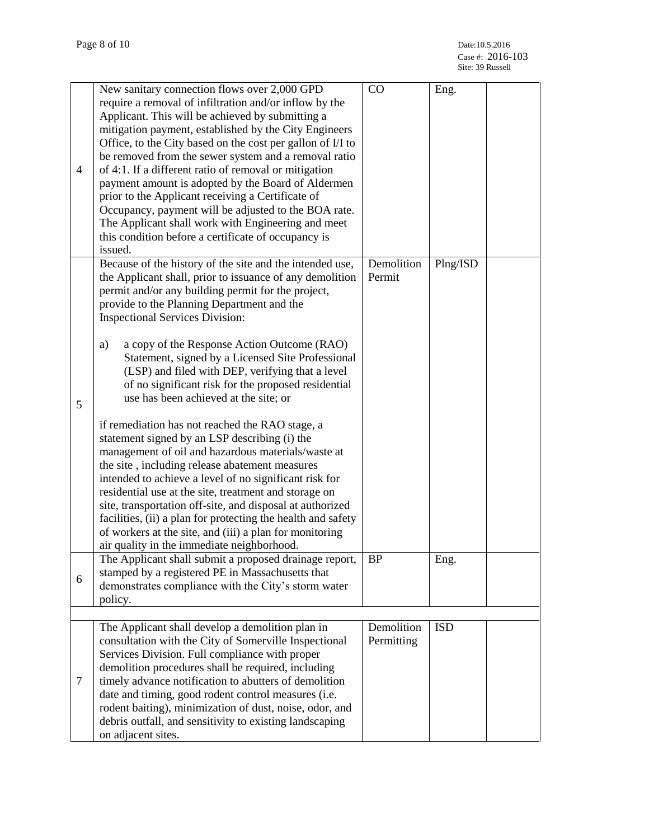| $\overline{4}$ | New sanitary connection flows over 2,000 GPD<br>require a removal of infiltration and/or inflow by the<br>Applicant. This will be achieved by submitting a<br>mitigation payment, established by the City Engineers<br>Office, to the City based on the cost per gallon of I/I to<br>be removed from the sewer system and a removal ratio<br>of 4:1. If a different ratio of removal or mitigation<br>payment amount is adopted by the Board of Aldermen<br>prior to the Applicant receiving a Certificate of<br>Occupancy, payment will be adjusted to the BOA rate.<br>The Applicant shall work with Engineering and meet<br>this condition before a certificate of occupancy is<br>issued. | CO                       | Eng.       |  |
|----------------|-----------------------------------------------------------------------------------------------------------------------------------------------------------------------------------------------------------------------------------------------------------------------------------------------------------------------------------------------------------------------------------------------------------------------------------------------------------------------------------------------------------------------------------------------------------------------------------------------------------------------------------------------------------------------------------------------|--------------------------|------------|--|
|                | Because of the history of the site and the intended use,<br>the Applicant shall, prior to issuance of any demolition<br>permit and/or any building permit for the project,<br>provide to the Planning Department and the<br><b>Inspectional Services Division:</b>                                                                                                                                                                                                                                                                                                                                                                                                                            | Demolition<br>Permit     | Plng/ISD   |  |
| 5              | a copy of the Response Action Outcome (RAO)<br>a)<br>Statement, signed by a Licensed Site Professional<br>(LSP) and filed with DEP, verifying that a level<br>of no significant risk for the proposed residential<br>use has been achieved at the site; or                                                                                                                                                                                                                                                                                                                                                                                                                                    |                          |            |  |
|                | if remediation has not reached the RAO stage, a<br>statement signed by an LSP describing (i) the<br>management of oil and hazardous materials/waste at<br>the site, including release abatement measures<br>intended to achieve a level of no significant risk for<br>residential use at the site, treatment and storage on<br>site, transportation off-site, and disposal at authorized<br>facilities, (ii) a plan for protecting the health and safety<br>of workers at the site, and (iii) a plan for monitoring<br>air quality in the immediate neighborhood.                                                                                                                             |                          |            |  |
| 6              | The Applicant shall submit a proposed drainage report,<br>stamped by a registered PE in Massachusetts that<br>demonstrates compliance with the City's storm water<br>policy.                                                                                                                                                                                                                                                                                                                                                                                                                                                                                                                  | <b>BP</b>                | Eng.       |  |
|                |                                                                                                                                                                                                                                                                                                                                                                                                                                                                                                                                                                                                                                                                                               |                          |            |  |
| 7              | The Applicant shall develop a demolition plan in<br>consultation with the City of Somerville Inspectional<br>Services Division. Full compliance with proper<br>demolition procedures shall be required, including<br>timely advance notification to abutters of demolition<br>date and timing, good rodent control measures (i.e.<br>rodent baiting), minimization of dust, noise, odor, and<br>debris outfall, and sensitivity to existing landscaping<br>on adjacent sites.                                                                                                                                                                                                                 | Demolition<br>Permitting | <b>ISD</b> |  |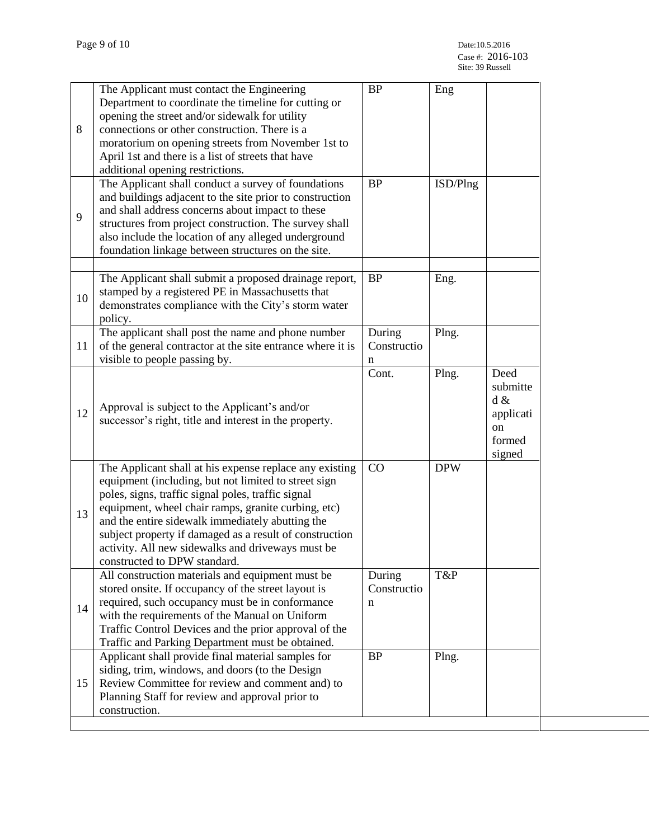| 8  | The Applicant must contact the Engineering<br>Department to coordinate the timeline for cutting or<br>opening the street and/or sidewalk for utility<br>connections or other construction. There is a<br>moratorium on opening streets from November 1st to<br>April 1st and there is a list of streets that have<br>additional opening restrictions.                                                                            | <b>BP</b>                  | Eng        |                                                                              |
|----|----------------------------------------------------------------------------------------------------------------------------------------------------------------------------------------------------------------------------------------------------------------------------------------------------------------------------------------------------------------------------------------------------------------------------------|----------------------------|------------|------------------------------------------------------------------------------|
| 9  | The Applicant shall conduct a survey of foundations<br>and buildings adjacent to the site prior to construction<br>and shall address concerns about impact to these<br>structures from project construction. The survey shall<br>also include the location of any alleged underground<br>foundation linkage between structures on the site.                                                                                      | <b>BP</b>                  | ISD/Plng   |                                                                              |
| 10 | The Applicant shall submit a proposed drainage report,<br>stamped by a registered PE in Massachusetts that<br>demonstrates compliance with the City's storm water<br>policy.                                                                                                                                                                                                                                                     | <b>BP</b>                  | Eng.       |                                                                              |
| 11 | The applicant shall post the name and phone number<br>of the general contractor at the site entrance where it is<br>visible to people passing by.                                                                                                                                                                                                                                                                                | During<br>Constructio<br>n | Plng.      |                                                                              |
| 12 | Approval is subject to the Applicant's and/or<br>successor's right, title and interest in the property.                                                                                                                                                                                                                                                                                                                          | Cont.                      | Plng.      | Deed<br>submitte<br>$d \&$<br>applicati<br><sub>on</sub><br>formed<br>signed |
| 13 | The Applicant shall at his expense replace any existing<br>equipment (including, but not limited to street sign<br>poles, signs, traffic signal poles, traffic signal<br>equipment, wheel chair ramps, granite curbing, etc)<br>and the entire sidewalk immediately abutting the<br>subject property if damaged as a result of construction<br>activity. All new sidewalks and driveways must be<br>constructed to DPW standard. | CO                         | <b>DPW</b> |                                                                              |
| 14 | All construction materials and equipment must be<br>stored onsite. If occupancy of the street layout is<br>required, such occupancy must be in conformance<br>with the requirements of the Manual on Uniform<br>Traffic Control Devices and the prior approval of the<br>Traffic and Parking Department must be obtained.                                                                                                        | During<br>Constructio<br>n | T&P        |                                                                              |
| 15 | Applicant shall provide final material samples for<br>siding, trim, windows, and doors (to the Design<br>Review Committee for review and comment and) to<br>Planning Staff for review and approval prior to<br>construction.                                                                                                                                                                                                     | <b>BP</b>                  | Plng.      |                                                                              |